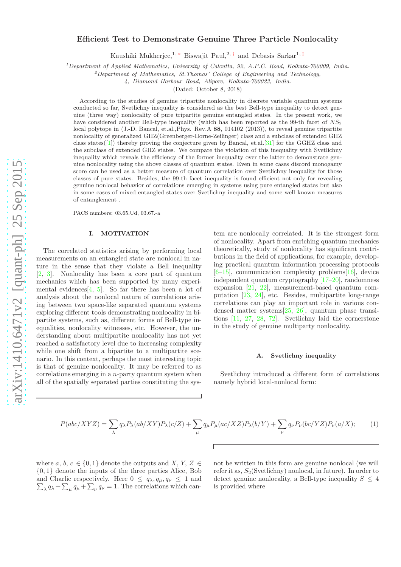# Efficient Test to Demonstrate Genuine Three Particle Nonlocality

Kaushiki Mukherjee,<sup>1, \*</sup> Biswajit Paul,<sup>2, †</sup> and Debasis Sarkar<sup>1, ‡</sup>

<sup>1</sup>Department of Applied Mathematics, University of Calcutta, 92, A.P.C. Road, Kolkata-700009, India.

 $^{2}$ Department of Mathematics, St. Thomas' College of Engineering and Technology,

4, Diamond Harbour Road, Alipore, Kolkata-700023, India.

(Dated: October 8, 2018)

According to the studies of genuine tripartite nonlocality in discrete variable quantum systems conducted so far, Svetlichny inequality is considered as the best Bell-type inequality to detect genuine (three way) nonlocality of pure tripartite genuine entangled states. In the present work, we have considered another Bell-type inequality (which has been reported as the 99-th facet of  $NS_2$ local polytope in (J.-D. Bancal, et.al.,Phys. Rev.A 88, 014102 (2013)), to reveal genuine tripartite nonlocality of generalized GHZ(Greenberger-Horne-Zeilinger) class and a subclass of extended GHZ class states( $[1]$  $[1]$ ) thereby proving the conjecture given by Bancal, et.al. $[31]$  $[31]$  for the GGHZ class and the subclass of extended GHZ states. We compare the violation of this inequality with Svetlichny inequality which reveals the efficiency of the former inequality over the latter to demonstrate genuine nonlocality using the above classes of quantum states. Even in some cases discord monogamy score can be used as a better measure of quantum correlation over Svetlichny inequality for those classes of pure states. Besides, the 99-th facet inequality is found efficient not only for revealing genuine nonlocal behavior of correlations emerging in systems using pure entangled states but also in some cases of mixed entangled states over Svetlichny inequality and some well known measures of entanglement .

PACS numbers: 03.65.Ud, 03.67.-a

## I. MOTIVATION

The correlated statistics arising by performing local measurements on an entangled state are nonlocal in nature in the sense that they violate a Bell inequality [\[2,](#page-11-2) [3\]](#page-11-3). Nonlocality has been a core part of quantum mechanics which has been supported by many experi-mental evidences [\[4,](#page-11-4) [5](#page-11-5)]. So far there has been a lot of analysis about the nonlocal nature of correlations arising between two space-like separated quantum systems exploring different tools demonstrating nonlocality in bipartite systems, such as, different forms of Bell-type inequalities, nonlocality witnesses, etc. However, the understanding about multipartite nonlocality has not yet reached a satisfactory level due to increasing complexity while one shift from a bipartite to a multipartite scenario. In this context, perhaps the most interesting topic is that of genuine nonlocality. It may be referred to as correlations emerging in a  $n$ -party quantum system when all of the spatially separated parties constituting the system are nonlocally correlated. It is the strongest form of nonlocality. Apart from enriching quantum mechanics theoretically, study of nonlocality has significant contributions in the field of applications, for example, developing practical quantum information processing protocols  $[6–15]$  $[6–15]$ , communication complexity problems $[16]$ , device independent quantum cryptography [\[17](#page-11-9)[–20\]](#page-11-10), randomness expansion [\[21,](#page-11-11) [22\]](#page-11-12), measurement-based quantum computation [\[23](#page-11-13), [24](#page-11-14)], etc. Besides, multipartite long-range correlations can play an important role in various condensed matter systems[\[25](#page-11-15), [26\]](#page-11-16), quantum phase transitions [\[11,](#page-11-17) [27](#page-11-18), [28,](#page-11-19) [72\]](#page-12-0). Svetlichny laid the cornerstone in the study of genuine multiparty nonlocality.

### A. Svetlichny inequality

Svetlichny introduced a different form of correlations namely hybrid local-nonlocal form:

<span id="page-0-0"></span>
$$
P(abc/XYZ) = \sum_{\lambda} q_{\lambda} P_{\lambda}(ab/XY) P_{\lambda}(c/Z) + \sum_{\mu} q_{\mu} P_{\mu}(ac/XZ) P_{\lambda}(b/Y) + \sum_{\nu} q_{\nu} P_{\nu}(bc/YZ) P_{\nu}(a/X); \tag{1}
$$

where a, b,  $c \in \{0, 1\}$  denote the outputs and X, Y, Z  $\in$ {0, 1} denote the inputs of the three parties Alice, Bob  $\sum_{\lambda} q_{\lambda} + \sum_{\mu} q_{\mu} + \sum_{\nu} q_{\nu} = 1$ . The correlations which canand Charlie respectively. Here  $0 \le q_{\lambda}, q_{\mu}, q_{\nu} \le 1$  and not be written in this form are genuine nonlocal (we will refer it as,  $S_2$ (Svetlichny) nonlocal, in future). In order to detect genuine nonlocality, a Bell-type inequality  $S \leq 4$ is provided where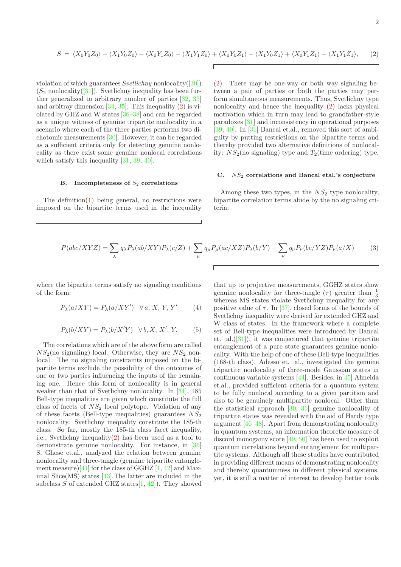<span id="page-1-0"></span>
$$
S = \langle X_0 Y_0 Z_0 \rangle + \langle X_1 Y_0 Z_0 \rangle - \langle X_0 Y_1 Z_0 \rangle + \langle X_1 Y_1 Z_0 \rangle + \langle X_0 Y_0 Z_1 \rangle - \langle X_1 Y_0 Z_1 \rangle + \langle X_0 Y_1 Z_1 \rangle + \langle X_1 Y_1 Z_1 \rangle, \tag{2}
$$

violation of which guarantees Svetlichny nonlocality([\[30\]](#page-11-20))  $(S_2 \text{ nonlocality}([31])$  $(S_2 \text{ nonlocality}([31])$  $(S_2 \text{ nonlocality}([31])$ . Svetlichny inequality has been further generalized to arbitrary number of parties [\[32,](#page-11-21) [33](#page-11-22)] and arbitray dimension  $[34, 35]$  $[34, 35]$  $[34, 35]$ . This inequality  $(2)$  is violated by GHZ and W states [\[36](#page-11-25)[–38](#page-11-26)] and can be regarded as a unique witness of genuine tripartite nonlocality in a scenario where each of the three parties performs two dichotomic measurements [\[30](#page-11-20)]. However, it can be regarded as a sufficient criteria only for detecting genuine nonlocality as there exist some genuine nonlocal correlations which satisfy this inequality [\[31,](#page-11-1) [39,](#page-11-27) [40\]](#page-11-28).

### B. Incompleteness of  $S_2$  correlations

The definition[\(1\)](#page-0-0) being general, no restrictions were imposed on the bipartite terms used in the inequality

[\(2\)](#page-1-0). There may be one-way or both way signaling between a pair of parties or both the parties may perform simultaneous measurements. Thus, Svetlichny type nonlocality and hence the inequality [\(2\)](#page-1-0) lacks physical motivation which in turn may lead to grandfather-style paradoxes [\[31\]](#page-11-1) and inconsistency in operational purposes [\[39,](#page-11-27) [40\]](#page-11-28). In [\[31\]](#page-11-1) Bancal et.al., removed this sort of ambiguity by putting restrictions on the bipartite terms and thereby provided two alternative definitions of nonlocality:  $NS_2$ (no signaling) type and  $T_2$ (time ordering) type.

### C.  $NS_2$  correlations and Bancal etal.'s conjecture

Among these two types, in the  $NS<sub>2</sub>$  type nonlocality, bipartite correlation terms abide by the no signaling criteria:

$$
P(abc/XYZ) = \sum_{\lambda} q_{\lambda} P_{\lambda}(ab/XY) P_{\lambda}(c/Z) + \sum_{\mu} q_{\mu} P_{\mu}(ac/XZ) P_{\lambda}(b/Y) + \sum_{\nu} q_{\nu} P_{\nu}(bc/YZ) P_{\nu}(a/X)
$$
(3)

where the bipartite terms satisfy no signaling conditions of the form:

<span id="page-1-1"></span>
$$
P_{\lambda}(a/XY) = P_{\lambda}(a/XY') \quad \forall a, X, Y, Y'
$$
 (4)

<span id="page-1-2"></span>
$$
P_{\lambda}(b/XY) = P_{\lambda}(b/X'Y) \quad \forall b, X, X', Y. \tag{5}
$$

The correlations which are of the above form are called  $NS_2$ (no signaling) local. Otherwise, they are  $NS_2$  nonlocal. The no signaling constraints imposed on the bipartite terms exclude the possibility of the outcomes of one or two parties influencing the inputs of the remaining one. Hence this form of nonlocality is in general weaker than that of Svetlichny nonlocality. In [\[31\]](#page-11-1), 185 Bell-type inequalities are given which constitute the full class of facets of  $NS<sub>2</sub>$  local polytope. Violation of any of these facets (Bell-type inequalities) guarantees  $NS_2$ nonlocality. Svetlichny inequality constitute the 185-th class. So far, mostly the 185-th class facet inequality, i.e., Svetlichny inequality $(2)$  has been used as a tool to demonstrate genuine nonlocality. For instance, in [\[36](#page-11-25)] S. Ghose et.al., analyzed the relation between genuine nonlocality and three-tangle (genuine tripartite entangle-ment measure)[\[41\]](#page-11-29) for the class of GGHZ  $[1, 42]$  $[1, 42]$  and Maximal Slice(MS) states [\[43](#page-11-31)].The latter are included in the subclass S of extended GHZ states  $[1, 42]$  $[1, 42]$  $[1, 42]$ . They showed that up to projective measurements, GGHZ states show genuine nonlocality for three-tangle  $(\tau)$  greater than  $\frac{1}{3}$ whereas MS states violate Svetlichny inequality for any positive value of  $\tau$ . In [\[37](#page-11-32)], closed forms of the bounds of Svetlichny inequality were derived for extended GHZ and W class of states. In the framework where a complete set of Bell-type inequalities were introduced by Bancal et. al.([\[31\]](#page-11-1)), it was conjectured that genuine tripartite entanglement of a pure state guarantees genuine nonlocality. With the help of one of these Bell-type inequalities (168-th class), Adesso et. al., investigated the genuine tripartite nonlocality of three-mode Gaussian states in continuous variable systems [\[44](#page-11-33)]. Besides, in[\[45\]](#page-11-34) Almeida et.al., provided sufficient criteria for a quantum system to be fully nonlocal according to a given partition and also to be genuinely multipartite nonlocal. Other than the statistical approach  $[30, 31]$  $[30, 31]$  genuine nonlocality of tripartite states was revealed with the aid of Hardy type argument [\[46](#page-11-35)[–48\]](#page-11-36). Apart from demonstrating nonlocality in quantum systems, an information theoretic measure of discord monogamy score [\[49,](#page-11-37) [50](#page-11-38)] has been used to exploit quantum correlations beyond entanglement for multipartite systems. Although all these studies have contributed in providing different means of demonstrating nonlocality and thereby quantumness in different physical systems, yet, it is still a matter of interest to develop better tools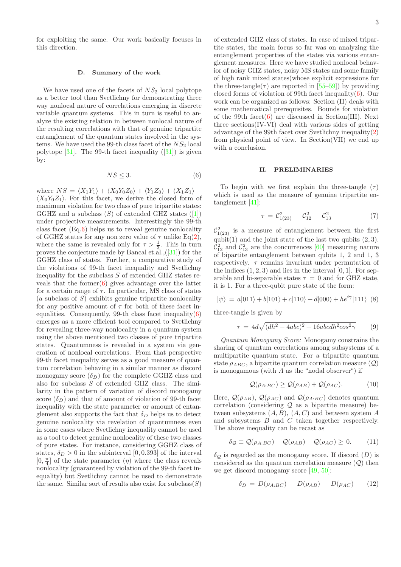for exploiting the same. Our work basically focuses in this direction.

#### D. Summary of the work

We have used one of the facets of  $NS<sub>2</sub>$  local polytope as a better tool than Svetlichny for demonstrating three way nonlocal nature of correlations emerging in discrete variable quantum systems. This in turn is useful to analyze the existing relation in between nonlocal nature of the resulting correlations with that of genuine tripartite entanglement of the quantum states involved in the systems. We have used the 99-th class facet of the  $NS<sub>2</sub>$  local polytope  $[31]$  $[31]$ . The 99-th facet inequality  $([31])$  is given by:

<span id="page-2-0"></span>
$$
NS \le 3. \tag{6}
$$

where  $NS = \langle X_1Y_1 \rangle + \langle X_0Y_0Z_0 \rangle + \langle Y_1Z_0 \rangle + \langle X_1Z_1 \rangle \langle X_0 Y_0 Z_1 \rangle$ . For this facet, we derive the closed form of maximum violation for two class of pure tripartite states: GGHZ and a subclass  $(S)$  of extended GHZ states  $([1])$  $([1])$  $([1])$ under projective measurements. Interestingly the 99-th class facet (Eq[.6\)](#page-2-0) helps us to reveal genuine nonlocality of GGHZ states for any non zero value of  $\tau$  unlike Eq[\(2\)](#page-1-0), where the same is revealed only for  $\tau > \frac{1}{3}$ . This in turn proves the conjecture made by Bancal et.al.,([\[31](#page-11-1)]) for the GGHZ class of states. Further, a comparative study of the violations of 99-th facet inequality and Svetlichny inequality for the subclass  $S$  of extended GHZ states reveals that the former $(6)$  gives advantage over the latter for a certain range of  $\tau$ . In particular, MS class of states  $(a$  subclass of  $S)$  exhibits genuine tripartite nonlocality for any positive amount of  $\tau$  for both of these facet inequalities. Consequently, 99-th class facet inequality $(6)$ emerges as a more efficient tool compared to Svetlichny for revealing three-way nonlocality in a quantum system using the above mentioned two classes of pure tripartite states. Quantumness is revealed in a system via generation of nonlocal correlations. From that perspective 99-th facet inequality serves as a good measure of quantum correlation behaving in a similar manner as discord monogamy score  $(\delta_D)$  for the complete GGHZ class and also for subclass S of extended GHZ class. The similarity in the pattern of variation of discord monogamy score  $(\delta_D)$  and that of amount of violation of 99-th facet inequality with the state parameter or amount of entanglement also supports the fact that  $\delta_D$  helps us to detect genuine nonlocality via revelation of quantumness even in some cases where Svetlichny inequality cannot be used as a tool to detect genuine nonlocality of these two classes of pure states. For instance, considering GGHZ class of states,  $\delta_D > 0$  in the subinterval [0, 0.393] of the interval  $[0,\frac{\pi}{4}]$  of the state parameter  $(\eta)$  where the class reveals nonlocality (guaranteed by violation of the 99-th facet inequality) but Svetlichny cannot be used to demonstrate the same. Similar sort of results also exist for  $\mathrm{subclass}(S)$ 

of extended GHZ class of states. In case of mixed tripartite states, the main focus so far was on analyzing the entanglement properties of the states via various entanglement measures. Here we have studied nonlocal behavior of noisy GHZ states, noisy MS states and some family of high rank mixed states(whose explicit expressions for the three-tangle( $\tau$ ) are reported in [\[55](#page-11-39)[–59\]](#page-12-1)) by providing closed forms of violation of 99th facet inequality $(6)$ . Our work can be organized as follows: Section (II) deals with some mathematical prerequisites. Bounds for violation of the 99th facet $(6)$  are discussed in Section(III). Next three sections(IV-VI) deal with various sides of getting advantage of the 99th facet over Svetlichny inequality[\(2\)](#page-1-0) from physical point of view. In Section(VII) we end up with a conclusion.

### II. PRELIMINARIES

To begin with we first explain the three-tangle  $(\tau)$ which is used as the measure of genuine tripartite entanglement [\[41\]](#page-11-29):

$$
\tau = \mathcal{C}_{1(23)}^2 - \mathcal{C}_{12}^2 - \mathcal{C}_{13}^2 \tag{7}
$$

 $\mathcal{C}_{1(23)}^2$  is a measure of entanglement between the first qubit(1) and the joint state of the last two qubits  $(2, 3)$ .  $\mathcal{C}_{12}^2$  and  $\mathcal{C}_{13}^2$  are the concurrences [\[60](#page-12-2)] measuring nature of bipartite entanglement between qubits 1, 2 and 1, 3 respectively.  $\tau$  remains invariant under permutation of the indices  $(1, 2, 3)$  and lies in the interval  $[0, 1]$ . For separable and bi-separable states  $\tau = 0$  and for GHZ state, it is 1. For a three-qubit pure state of the form:

$$
|\psi\rangle\,=\,a|011\rangle+b|101\rangle+c|110\rangle+d|000\rangle+he^{i\gamma}|111\rangle\,\,\,(8)
$$

three-tangle is given by

$$
\tau = 4d\sqrt{(dh^2 - 4abc)^2 + 16abcdh^2\cos^2\gamma} \tag{9}
$$

Quantum Monogamy Score: Monogamy constrains the sharing of quantum correlations among subsystems of a multipartite quantum state. For a tripartite quantum state  $\rho_{ABC}$ , a bipartite quantum correlation measure (Q) is monogamous (with  $A$  as the "nodal observer") if

<span id="page-2-1"></span>
$$
\mathcal{Q}(\rho_{A:BC}) \ge \mathcal{Q}(\rho_{AB}) + \mathcal{Q}(\rho_{AC}). \tag{10}
$$

Here,  $\mathcal{Q}(\rho_{AB})$ ,  $\mathcal{Q}(\rho_{AC})$  and  $\mathcal{Q}(\rho_{A:BC})$  denotes quantum correlation (considering  $Q$  as a bipartite measure) between subsystems  $(A, B)$ ,  $(A, C)$  and between system  $A$ and subsystems B and C taken together respectively. The above inequality can be recast as

$$
\delta_{\mathcal{Q}} \equiv \mathcal{Q}(\rho_{A:BC}) - \mathcal{Q}(\rho_{AB}) - \mathcal{Q}(\rho_{AC}) \ge 0. \tag{11}
$$

 $\delta_{\mathcal{O}}$  is regarded as the monogamy score. If discord  $(D)$  is considered as the quantum correlation measure  $(Q)$  then we get discord monogamy score [\[49,](#page-11-37) [50\]](#page-11-38):

<span id="page-2-2"></span>
$$
\delta_D = D(\rho_{A:BC}) - D(\rho_{AB}) - D(\rho_{AC}) \qquad (12)
$$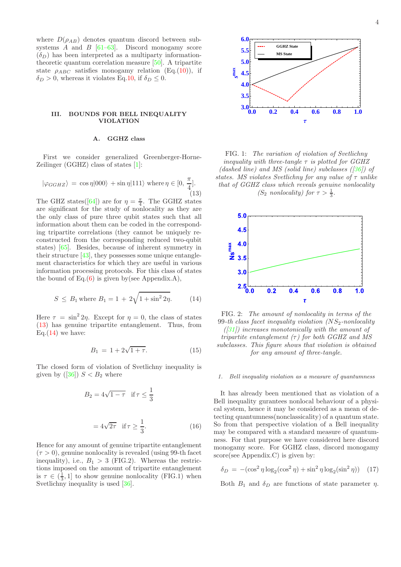where  $D(\rho_{AB})$  denotes quantum discord between subsystems  $\ddot{A}$  and  $\ddot{B}$  [\[61](#page-12-3)[–63](#page-12-4)]. Discord monogamy score  $(\delta_D)$  has been interpreted as a multiparty informationtheoretic quantum correlation measure [\[50\]](#page-11-38). A tripartite state  $\rho_{ABC}$  satisfies monogamy relation (Eq.[\(10\)](#page-2-1)), if  $\delta_D > 0$ , whereas it violates Eq[.10,](#page-2-1) if  $\delta_D \leq 0$ .

## III. BOUNDS FOR BELL INEQUALITY VIOLATION

## A. GGHZ class

First we consider generalized Greenberger-Horne-Zeilinger (GGHZ) class of states [\[1\]](#page-11-0):

<span id="page-3-0"></span>
$$
|\varphi_{GGHZ}\rangle = \cos \eta |000\rangle + \sin \eta |111\rangle \text{ where } \eta \in [0, \frac{\pi}{4}].
$$
\n(13)

The GHZ states([\[64\]](#page-12-5)) are for  $\eta = \frac{\pi}{4}$ . The GGHZ states are significant for the study of nonlocality as they are the only class of pure three qubit states such that all information about them can be coded in the corresponding tripartite correlations (they cannot be uniquely reconstructed from the corresponding reduced two-qubit states) [\[65\]](#page-12-6). Besides, because of inherent symmetry in their structure [\[43\]](#page-11-31), they possesses some unique entanglement characteristics for which they are useful in various information processing protocols. For this class of states the bound of Eq. $(6)$  is given by(see Appendix.A),

<span id="page-3-1"></span>
$$
S \le B_1
$$
 where  $B_1 = 1 + 2\sqrt{1 + \sin^2 2\eta}$ . (14)

Here  $\tau = \sin^2 2\eta$ . Except for  $\eta = 0$ , the class of states [\(13\)](#page-3-0) has genuine tripartite entanglement. Thus, from Eq. $(14)$  we have:

<span id="page-3-3"></span>
$$
B_1 = 1 + 2\sqrt{1 + \tau}.\tag{15}
$$

The closed form of violation of Svetlichny inequality is given by  $([36]) S < B_2$  $([36]) S < B_2$  $([36]) S < B_2$  where

<span id="page-3-4"></span>
$$
B_2 = 4\sqrt{1-\tau} \quad \text{if } \tau \le \frac{1}{3}
$$

$$
= 4\sqrt{2\tau} \quad \text{if } \tau \ge \frac{1}{3}.
$$
 (16)

Hence for any amount of genuine tripartite entanglement  $(\tau > 0)$ , genuine nonlocality is revealed (using 99-th facet inequality), i.e.,  $B_1 > 3$  (FIG.2). Whereas the restrictions imposed on the amount of tripartite entanglement is  $\tau \in (\frac{1}{3}, 1]$  to show genuine nonlocality (FIG.1) when Svetlichny inequality is used [\[36\]](#page-11-25).



FIG. 1: The variation of violation of Svetlichny inequality with three-tangle  $\tau$  is plotted for GGHZ (dashed line) and MS (solid line) subclasses  $(36)$ ) of states. MS violates Svetlichny for any value of  $\tau$  unlike that of GGHZ class which reveals genuine nonlocality

(S<sub>2</sub> nonlocality) for  $\tau > \frac{1}{3}$ .



FIG. 2: The amount of nonlocality in terms of the 99-th class facet inequality violation  $(NS_2$ -nonlocality  $(31)$  increases monotonically with the amount of tripartite entanglement  $(\tau)$  for both GGHZ and MS subclasses. This figure shows that violation is obtained for any amount of three-tangle.

#### 1. Bell inequality violation as a measure of quantumness

It has already been mentioned that as violation of a Bell inequality gurantees nonlocal behaviour of a physical system, hence it may be considered as a mean of detecting quantumness(nonclassicality) of a quantum state. So from that perspective violation of a Bell inequality may be compared with a standard measure of quantumness. For that purpose we have considered here discord monogamy score. For GGHZ class, discord monogamy score(see Appendix.C) is given by:

<span id="page-3-2"></span>
$$
\delta_D = -(\cos^2 \eta \log_2(\cos^2 \eta) + \sin^2 \eta \log_2(\sin^2 \eta)) \quad (17)
$$

Both  $B_1$  and  $\delta_D$  are functions of state parameter  $\eta$ .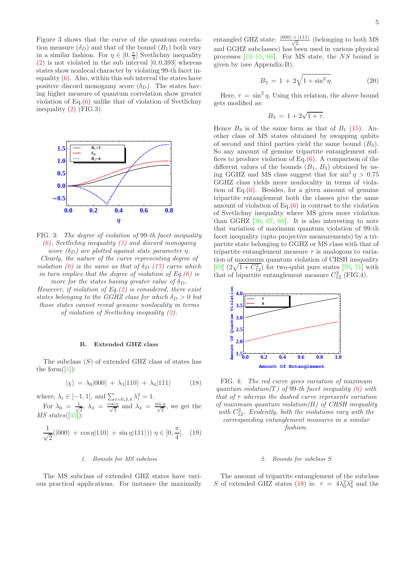Figure 3 shows that the curve of the quantum correlation measure  $(\delta_D)$  and that of the bound  $(B_1)$  both vary in a similar fashion. For  $\eta \in [0, \frac{\pi}{4}]$  Svetlichny inequality  $(2)$  is not violated in the sub interval  $[0, 0.393]$  whereas states show nonlocal character by violating 99-th facet inequality  $(6)$ . Also, within this sub interval the states have positive discord monogamy score  $(\delta_D)$ . The states having higher measure of quantum correlation show greater violation of Eq.[\(6\)](#page-2-0) unlike that of violation of Svetlichny inequality [\(2\)](#page-1-0) (FIG.3).



FIG. 3: The degree of violation of 99-th facet inequality  $(6)$ , Svetlichny inequality  $(2)$  and discord monogamy score  $(\delta_D)$  are plotted against state parameter  $\eta$ .

Clearly, the nature of the curve representing degree of violation [\(6\)](#page-2-0) is the same as that of  $\delta_D$  [\(17\)](#page-3-2) curve which in turn implies that the degree of violation of  $Eq. (6)$  $Eq. (6)$  is more for the states having greater value of  $\delta_D$ .

However, if violation of  $Eq. (2)$  $Eq. (2)$  is considered, there exist states belonging to the GGHZ class for which  $\delta_D > 0$  but those states cannot reveal genuine nonlocality in terms of violation of Svetlichny inequality [\(2\)](#page-1-0).

## B. Extended GHZ class

The subclass  $(S)$  of extended GHZ class of states has the form( $[1]$ ):

<span id="page-4-0"></span>
$$
|\chi\rangle = \lambda_0|000\rangle + \lambda_3|110\rangle + \lambda_4|111\rangle \tag{18}
$$

where,  $\lambda_i \in [-1, 1]$ , and  $\sum_{i=0,3,4} \lambda_i^2 = 1$ . For  $\lambda_0 = \frac{1}{\sqrt{2}}$  $\frac{1}{2}$ ,  $\lambda_3 = \frac{\cos \eta}{\sqrt{2}}$  $rac{\sin \eta}{2}$  and  $\lambda_4 = \frac{\sin \eta}{\sqrt{2}}$  $\frac{q}{2}$ , we get the  $MS\ states([43])$  $MS\ states([43])$  $MS\ states([43])$ :

<span id="page-4-1"></span>
$$
\frac{1}{\sqrt{2}}(|000\rangle + \cos \eta |110\rangle + \sin \eta |111\rangle)) \eta \in [0, \frac{\pi}{4}]. \quad (19)
$$

#### 1. Bounds for MS subclass

The MS subclass of extended GHZ states have various practical applications. For instance the maximally

entangled GHZ state:  $\frac{|000\rangle + |111\rangle}{\sqrt{2}}$  (belonging to both MS and GGHZ subclasses) has been used in various physical processes  $[13-15, 66]$  $[13-15, 66]$ . For MS state, the NS bound is given by (see Appendix-B):

<span id="page-4-2"></span>
$$
B_3 = 1 + 2\sqrt{1 + \sin^2 \eta}.
$$
 (20)

Here,  $\tau = \sin^2 \eta$ . Using this relation, the above bound gets modified as:

$$
B_3 = 1 + 2\sqrt{1 + \tau}.
$$

Hence  $B_3$  is of the same form as that of  $B_1$  [\(15\)](#page-3-3). Another class of MS states obtained by swapping qubits of second and third parties yield the same bound  $(B_3)$ . So any amount of genuine tripartite entanglement suffices to produce violation of Eq. $(6)$ . A comparison of the different values of the bounds  $(B_1, B_3)$  obtained by using GGHZ and MS class suggest that for  $\sin^2 \eta > 0.75$ GGHZ class yields more nonlocality in terms of violation of Eq. $(6)$ . Besides, for a given amount of genuine tripartite entanglement both the classes give the same amount of violation of  $Eq.(6)$  $Eq.(6)$  in contrast to the violation of Svetlichny inequality where MS gives more violation than GGHZ [\[36,](#page-11-25) [67](#page-12-8), [68](#page-12-9)]. It is also interesting to note that variation of maximum quantum violation of 99-th facet inequality (upto projective measurements) by a tripartite state belonging to GGHZ or MS class with that of tripartite entanglement measure  $\tau$  is analogous to variation of maximum quantum violation of CHSH inequality [\[69\]](#page-12-10)  $(2\sqrt{1+C_{12}^2})$  for two-qubit pure states [\[70](#page-12-11), [71\]](#page-12-12) with that of bipartite entanglement measure  $C_{12}^2$  (FIG.4).



FIG. 4: The red curve gives variation of maximum quantum violation(T) of 99-th facet inequality  $(6)$  with that of  $\tau$  whereas the dashed curve represents variation of maximum quantum violation $(B)$  of CHSH inequality with  $C_{12}^2$ . Evidently, both the violations vary with the corresponding entanglement measures in a similar fashion.

### 2. Bounds for subclass S

The amount of tripartite entanglement of the subclass S of extended GHZ states [\(18\)](#page-4-0) is:  $\tau = 4\lambda_0^2 \lambda_4^2$  and the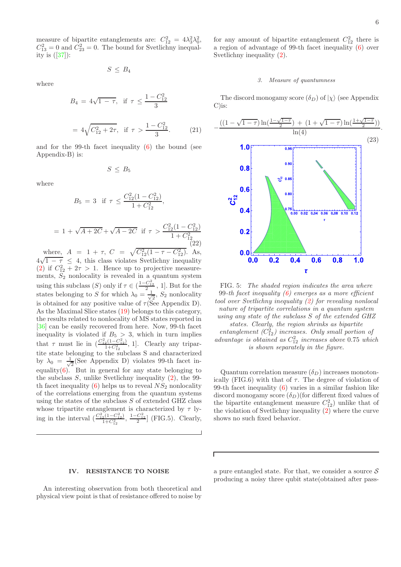measure of bipartite entanglements are:  $C_{12}^2 = 4\lambda_3^2\lambda_0^2$ ,  $C_{13}^2 = 0$  and  $C_{23}^2 = 0$ . The bound for Svetlichny inequality is  $([37])$  $([37])$  $([37])$ :

$$
S\leq B_4
$$

where

$$
B_4 = 4\sqrt{1 - \tau}, \text{ if } \tau \le \frac{1 - C_{12}^2}{3}
$$

$$
= 4\sqrt{C_{12}^2 + 2\tau}, \text{ if } \tau > \frac{1 - C_{12}^2}{3}.
$$
(21)

and for the 99-th facet inequality [\(6\)](#page-2-0) the bound (see Appendix-B) is:

$$
S\,\leq\,B_5
$$

where

$$
B_5 = 3 \text{ if } \tau \le \frac{C_{12}^2 (1 - C_{12}^2)}{1 + C_{12}^2},
$$

<span id="page-5-0"></span>
$$
= 1 + \sqrt{A + 2C} + \sqrt{A - 2C} \text{ if } \tau > \frac{C_{12}^2 (1 - C_{12}^2)}{1 + C_{12}^2}
$$
\n(22)

where,  $A = 1 + \tau$ ,  $C = \sqrt{C_{12}^2(1 - \tau - C_{12}^2)}$ . As,  $4\sqrt{1-\tau} \leq 4$ , this class violates Svetlichny inequality [\(2\)](#page-1-0) if  $C_{12}^2 + 2\tau > 1$ . Hence up to projective measurements,  $S_2$  nonlocality is revealed in a quantum system using this subclass  $(S)$  only if  $\tau \in (\frac{1-C_{12}^2}{2}, 1]$ . But for the states belonging to S for which  $\lambda_0 = \frac{1}{\sqrt{2}}$  $\frac{1}{2}$ ,  $S_2$  nonlocality is obtained for any positive value of  $\tau$ (See Appendix D). As the Maximal Slice states [\(19\)](#page-4-1) belongs to this category, the results related to nonlocality of MS states reported in [\[36\]](#page-11-25) can be easily recovered from here. Now, 99-th facet inequality is violated if  $B_5 > 3$ , which in turn implies that  $\tau$  must lie in  $\left(\frac{C_{12}^2(1-C_{12}^2)}{1+C_{12}^2}, 1\right)$ . Clearly any tripartite state belonging to the subclass S and characterized by  $\lambda_0 = \frac{1}{\sqrt{2}}$  $\frac{1}{2}$  (See Appendix D) violates 99-th facet inequality $(6)$ . But in general for any state belonging to the subclass  $S$ , unlike Svetlichny inequality  $(2)$ , the 99th facet inequality  $(6)$  helps us to reveal  $NS<sub>2</sub>$  nonlocality of the correlations emerging from the quantum systems using the states of the subclass  $S$  of extended GHZ class whose tripartite entanglement is characterized by  $\tau$  lying in the interval  $\left(\frac{C_{12}^2(1-C_{12}^2)}{1+C_{12}^2}, \frac{1-C_{12}^2}{2}\right)$  (FIG.5). Clearly,

# for any amount of bipartite entanglement  $C_{12}^2$  there is a region of advantage of 99-th facet inequality [\(6\)](#page-2-0) over Svetlichny inequality [\(2\)](#page-1-0).

### 3. Measure of quantumness

The discord monogamy score  $(\delta_D)$  of  $|\chi\rangle$  (see Appendix C)is:

<span id="page-5-1"></span>

FIG. 5: The shaded region indicates the area where 99-th facet inequality  $(6)$  emerges as a more efficient tool over Svetlichny inequality [\(2\)](#page-1-0) for revealing nonlocal nature of tripartite correlations in a quantum system using any state of the subclass S of the extended GHZ states. Clearly, the region shrinks as bipartite entanglement  $(C_{12}^2)$  increases. Only small portion of advantage is obtained as  $C_{12}^2$  increases above 0.75 which is shown separately in the figure.

Quantum correlation measure  $(\delta_D)$  increases monotonically (FIG.6) with that of  $\tau$ . The degree of violation of 99-th facet inequality [\(6\)](#page-2-0) varies in a similar fashion like discord monogamy score  $(\delta_D)$  (for different fixed values of the bipartite entanglement measure  $C_{12}^2$ ) unlike that of the violation of Svetlichny inequality [\(2\)](#page-1-0) where the curve shows no such fixed behavior.

### IV. RESISTANCE TO NOISE

An interesting observation from both theoretical and physical view point is that of resistance offered to noise by

a pure entangled state. For that, we consider a source  $\mathcal S$ producing a noisy three qubit state(obtained after pass-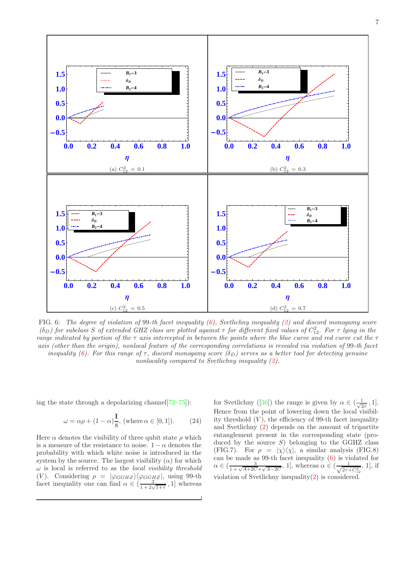

FIG. 6: The degree of violation of 99-th facet inequality  $(6)$ , Svetlichny inequality  $(2)$  and discord monogamy score ( $\delta_D$ ) for subclass S of extended GHZ class are plotted against  $\tau$  for different fixed values of  $C_{12}^2$ . For  $\tau$  lying in the range indicated by portion of the  $\tau$  axis intercepted in between the points where the blue curve and red curve cut the  $\tau$ axis (other than the origin), nonlocal feature of the corresponding correlations is revealed via violation of 99-th facet inequality [\(6\)](#page-2-0). For this range of  $\tau$ , discord monogamy score ( $\delta_D$ ) serves as a better tool for detecting genuine nonlocality compared to Svetlichny inequality [\(2\)](#page-1-0).

ing the state through a depolarizing channel  $[72-75]$  $[72-75]$ :

$$
\omega = \alpha \rho + (1 - \alpha) \frac{1}{8}, \text{ (where } \alpha \in [0, 1]). \tag{24}
$$

Here  $\alpha$  denotes the visibility of three qubit state  $\rho$  which is a measure of the resistance to noise.  $1 - \alpha$  denotes the probability with which white noise is introduced in the system by the source. The largest visibility  $(\alpha)$  for which  $\omega$  is local is referred to as the *local visibility threshold* (V). Considering  $\rho = |\varphi_{GGHZ}\rangle\langle \varphi_{GGHZ}|$ , using 99-th facet inequality one can find  $\alpha \in (\frac{3}{1+2\sqrt{1+\tau}}, 1]$  whereas

for Svetlichny ([\[36\]](#page-11-25)) the range is given by  $\alpha \in (\frac{1}{\sqrt{2}})$  $\frac{1}{2\tau}$ , 1]. Hence from the point of lowering down the local visibility threshold  $(V)$ , the efficiency of 99-th facet inequality and Svetlichny [\(2\)](#page-1-0) depends on the amount of tripartite entanglement present in the corresponding state (produced by the source  $S$ ) belonging to the GGHZ class (FIG.7). For  $\rho = |\chi\rangle\langle\chi|$ , a similar analysis (FIG.8) can be made as 99-th facet inequality [\(6\)](#page-2-0) is violated for  $\alpha \in (\frac{3}{1+\sqrt{A+2C}+\sqrt{A-2C}}, 1]$ , whereas  $\alpha \in (\frac{1}{\sqrt{2\tau+C_{12}^2}}, 1]$ , if violation of Svetlichny inequality[\(2\)](#page-1-0) is considered.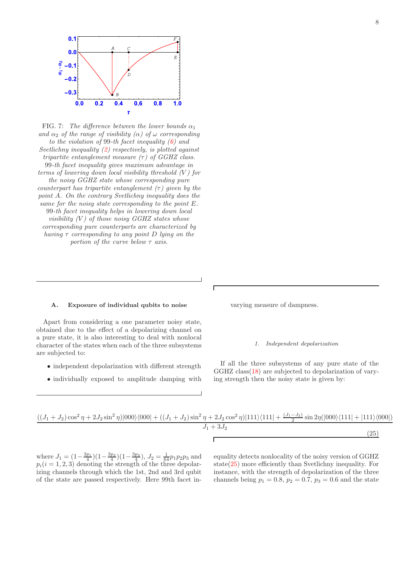

FIG. 7: The difference between the lower bounds  $\alpha_1$ and  $\alpha_2$  of the range of visibility  $(\alpha)$  of  $\omega$  corresponding to the violation of 99-th facet inequality  $(6)$  and Svetlichny inequality [\(2\)](#page-1-0) respectively, is plotted against tripartite entanglement measure  $(\tau)$  of GGHZ class. 99-th facet inequality gives maximum advantage in terms of lowering down local visibility threshold  $(V)$  for the noisy GGHZ state whose corresponding pure counterpart has tripartite entanglement  $(\tau)$  given by the point A. On the contrary Svetlichny inequality does the same for the noisy state corresponding to the point E. 99-th facet inequality helps in lowering down local visibility  $(V)$  of those noisy GGHZ states whose corresponding pure counterparts are characterized by having  $\tau$  corresponding to any point D lying on the portion of the curve below  $\tau$  axis.

# A. Exposure of individual qubits to noise

Apart from considering a one parameter noisy state, obtained due to the effect of a depolarizing channel on a pure state, it is also interesting to deal with nonlocal character of the states when each of the three subsystems are subjected to:

- independent depolarization with different strength
- individually exposed to amplitude damping with

varying measure of dampness.

### 1. Independent depolarization

If all the three subsystems of any pure state of the GGHZ class[\(18\)](#page-4-0) are subjected to depolarization of varying strength then the noisy state is given by:

<span id="page-7-0"></span>
$$
\frac{((J_1 + J_2)\cos^2\eta + 2J_2\sin^2\eta)|000\rangle\langle000| + ((J_1 + J_2)\sin^2\eta + 2J_2\cos^2\eta)|111\rangle\langle111| + \frac{(J_1 - J_2)}{2}\sin 2\eta(|000\rangle\langle111| + |111\rangle\langle000|)}{J_1 + 3J_2}
$$
\n(25)

where  $J_1 = (1 - \frac{3p_1}{4})(1 - \frac{3p_2}{4})(1 - \frac{3p_3}{4}), J_2 = \frac{1}{64}p_1p_2p_3$  and  $p_i(i = 1, 2, 3)$  denoting the strength of the three depolarizing channels through which the 1st, 2nd and 3rd qubit of the state are passed respectively. Here 99th facet inequality detects nonlocality of the noisy version of GGHZ state $(25)$  more efficiently than Svetlichny inequality. For instance, with the strength of depolarization of the three channels being  $p_1 = 0.8$ ,  $p_2 = 0.7$ ,  $p_3 = 0.6$  and the state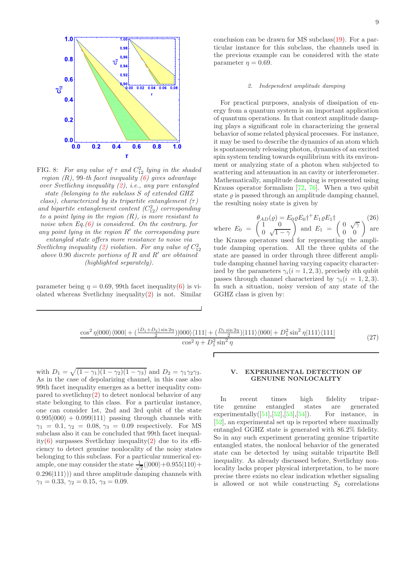

FIG. 8: For any value of  $\tau$  and  $C_{12}^2$  lying in the shaded region  $(R)$ , 99-th facet inequality  $(6)$  gives advantage over Svetlichny inequality [\(2\)](#page-1-0), i.e., any pure entangled state (belonging to the subclass S of extended GHZ

class), characterized by its tripartite entanglement  $(\tau)$ and bipartite entanglement content  $(C_{12}^2)$  corresponding to a point lying in the region  $(R)$ , is more resistant to noise when  $Eq.(6)$  $Eq.(6)$  is considered. On the contrary, for any point lying in the region  $R'$  the corresponding pure entangled state offers more resistance to noise via

Svetlichny inequality [\(2\)](#page-1-0) violation. For any value of  $C_{12}^2$ above 0.90 discrete portions of R and R′ are obtained (highlighted separately).

parameter being  $\eta = 0.69$ , 99th facet inequality[\(6\)](#page-2-0) is violated whereas Svetlichny inequality $(2)$  is not. Similar conclusion can be drawn for MS subclass[\(19\)](#page-4-1). For a particular instance for this subclass, the channels used in the previous example can be considered with the state parameter  $\eta = 0.69$ .

### 2. Independent amplitude damping

For practical purposes, analysis of dissipation of energy from a quantum system is an important application of quantum operations. In that context amplitude damping plays a significant role in characterizing the general behavior of some related physical processes. For instance, it may be used to describe the dynamics of an atom which is spontaneously releasing photon, dynamics of an excited spin system tending towards equilibrium with its environment or analyzing state of a photon when subjected to scattering and attenuation in an cavity or interferometer. Mathematically, amplitude damping is represented using Krauss operator formalism [\[72,](#page-12-0) [76\]](#page-12-14). When a two qubit state  $\rho$  is passed through an amplitude damping channel, the resulting noisy state is given by

where 
$$
E_0 = \begin{pmatrix} \theta_{AD}(\varrho) = E_0 \varrho E_0 \dagger + E_1 \varrho E_1 \dagger \\ 0 & \sqrt{1-\gamma} \end{pmatrix}
$$
 and  $E_1 = \begin{pmatrix} 0 & \sqrt{\gamma} \\ 0 & 0 \end{pmatrix}$  are the Krauss operators used for representing the amplitude damping operation. All the three qubits of the state are passed in order through three different amplitude damping channel having varying capacity characterized by the parameters  $\gamma_i (i = 1, 2, 3)$ , precisely *i*th qubit passes through channel characterized by  $\gamma_i (i = 1, 2, 3)$ . In such a situation, noisy version of any state of the GGHZ class is given by:

$$
\frac{\cos^2 \eta |000\rangle\langle 000| + \left(\frac{(D_1 + D_2)\sin 2\eta}{2}\right) |000\rangle\langle 111| + \left(\frac{D_1 \sin 2\eta}{2}\right) |111\rangle\langle 000| + D_1^2 \sin^2 \eta |111\rangle\langle 111|}{\cos^2 \eta + D_1^2 \sin^2 \eta}
$$
\n(27)

with  $D_1 = \sqrt{(1 - \gamma_1)(1 - \gamma_2)(1 - \gamma_3)}$  and  $D_2 = \gamma_1 \gamma_2 \gamma_3$ . As in the case of depolarizing channel, in this case also 99th facet inequality emerges as a better inequality compared to svetlichny[\(2\)](#page-1-0) to detect nonlocal behavior of any state belonging to this class. For a particular instance, one can consider 1st, 2nd and 3rd qubit of the state  $0.995|000\rangle + 0.099|111\rangle$  passing through channels with  $\gamma_1 = 0.1, \gamma_2 = 0.08, \gamma_3 = 0.09$  respectively. For MS subclass also it can be concluded that 99th facet inequal-ity[\(6\)](#page-2-0) surpasses Svetlichny inequality[\(2\)](#page-1-0) due to its efficiency to detect genuine nonlocality of the noisy states belonging to this subclass. For a particular numerical example, one may consider the state  $\frac{1}{\sqrt{2}}$  $\frac{1}{2}(|000\rangle+0.955|110\rangle+$  $(0.296|111\rangle)$  and three amplitude damping channels with  $\gamma_1 = 0.33, \, \gamma_2 = 0.15, \, \gamma_3 = 0.09.$ 

## V. EXPERIMENTAL DETECTION OF GENUINE NONLOCALITY

In recent times high fidelity tripartite genuine entangled states are generated experimentally $([51],[52],[53],[54])$  $([51],[52],[53],[54])$  $([51],[52],[53],[54])$  $([51],[52],[53],[54])$  $([51],[52],[53],[54])$  $([51],[52],[53],[54])$  $([51],[52],[53],[54])$  $([51],[52],[53],[54])$  $([51],[52],[53],[54])$ . For instance, in [\[52\]](#page-11-42), an experimental set up is reported where maximally entangled GGHZ state is generated with 86.2% fidelity. So in any such experiment generating genuine tripartite entangled states, the nonlocal behavior of the generated state can be detected by using suitable tripartite Bell inequality. As already discussed before, Svetlichny nonlocality lacks proper physical interpretation, to be more precise there exists no clear indication whether signaling is allowed or not while constructing  $S_2$  correlations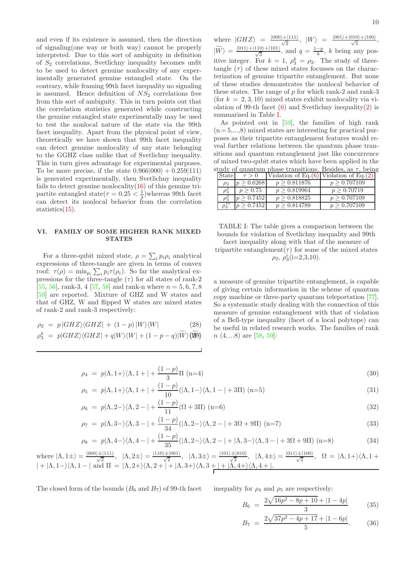and even if its existence is assumed, then the direction of signaling(one way or both way) cannot be properly interpreted. Due to this sort of ambiguity in definition of  $S_2$  correlations, Svetlichny inequality becomes unfit to be used to detect genuine nonlocality of any experimentally generated genuine entangled state. On the contrary, while framing 99th facet inequality no signaling is assumed. Hence definition of  $NS<sub>2</sub>$  correlations free from this sort of ambiguity. This in turn points out that the correlation statistics generated while constructing the genuine entangled state experimentally may be used to test the nonlocal nature of the state via the 99th facet inequality. Apart from the physical point of view, theoretically we have shown that 99th facet inequality can detect genuine nonlocality of any state belonging to the GGHZ class unlike that of Svetlichny inequality. This in turn gives advantage for experimental purposes. To be more precise, if the state  $0.966|000\rangle + 0.259|111\rangle$ is generated experimentally, then Svetlichny inequality fails to detect genuine nonlocality $(16)$  of this genuine tripartite entangled state( $\tau = 0.25 < \frac{1}{3}$ )whereas 99th facet can detect its nonlocal behavior from the correlation statistics[\(15\)](#page-3-3).

## VI. FAMILY OF SOME HIGHER RANK MIXED **STATES**

For a three-qubit mixed state,  $\rho = \sum_i p_i \rho_i$  analytical expressions of three-tangle are given in terms of convex roof:  $\tau(\rho) = \min_{p_i} \sum_i p_i \tau(\rho_i)$ . So far the analytical expressions for the three-tangle  $(\tau)$  for all states of rank-2 [\[55,](#page-11-39) [56\]](#page-11-45), rank-3, 4 [\[57,](#page-12-15) [58\]](#page-12-16) and rank-n where  $n = 5, 6, 7, 8$ [\[59\]](#page-12-1) are reported. Mixture of GHZ and W states and that of GHZ, W and flipped W states are mixed states of rank-2 and rank-3 respectively:

$$
\rho_2 = p |GHZ\rangle\langle GHZ| + (1-p)|W\rangle\langle W| \qquad (28)
$$
  
\n
$$
\rho_3^k = p|GHZ\rangle\langle GHZ| + q|W\rangle\langle W| + (1-p-q)|\widetilde{W}\rangle\langle\widetilde{W}\rangle
$$

where  $|GHZ\rangle = \frac{|000\rangle + |111\rangle}{\sqrt{2}}, |W\rangle = \frac{|001\rangle + |010\rangle + |100\rangle}{\sqrt{3}},$  $|\widetilde{W}\rangle = \frac{|011\rangle+|110\rangle+|101\rangle}{\sqrt{3}}$  and  $q = \frac{1-p}{k}$ , k being any positive integer. For  $k = 1$ ,  $\rho_3^k = \rho_2$ . The study of threetangle  $(\tau)$  of these mixed states focusses on the characterization of genuine tripartite entanglement. But none of these studies demonstrates the nonlocal behavior of these states. The range of  $p$  for which rank-2 and rank-3 (for  $k = 2, 3, 10$ ) mixed states exhibit nonlocality via violation of 99-th facet  $(6)$  and Svetlichny inequality $(2)$  is summarised in Table [I.](#page-9-0)

As pointed out in [\[59\]](#page-12-1), the families of high rank  $(n=5,...,8)$  mixed states are interesting for practical purposes as their tripartite entanglement features would reveal further relations between the quantum phase transitions and quantum entanglement just like concurrence of mixed two-qubit states which have been applied in the study of quantum phase transitions. Besides, as  $\tau$ , being

| State    | $\tau > 0$      | Violation of Eq. $(6)$ Violation of Eq. $(2)$ |              |
|----------|-----------------|-----------------------------------------------|--------------|
| $\rho_2$ | p > 0.6268      | p > 0.811876                                  | p > 0.707109 |
|          | $p \geq 0.75$   | p > 0.819964                                  | p > 0.70719  |
|          | p > 0.7452      | p > 0.818825                                  | p > 0.707109 |
|          | $p \geq 0.7452$ | p > 0.814789                                  | p > 0.707109 |

<span id="page-9-0"></span>TABLE I: The table gives a comparison between the bounds for violation of Svetlichny inequality and 99th facet inequality along with that of the measure of

tripartite entanglement( $\tau$ ) for some of the mixed states  $\rho_2, \, \rho_3^i$ (i=2,3,10).

a measure of genuine tripartite entanglement, is capable of giving certain information in the scheme of quantum copy machine or three-party quantum teleportation [\[77\]](#page-12-17). So a systematic study dealing with the connection of this measure of genuine entanglement with that of violation of a Bell-type inequality (facet of a local polytope) can be useful in related research works. The families of rank  $n(4,...8)$  are [\[58,](#page-12-16) [59\]](#page-12-1):

$$
\rho_4 = p|\Lambda, 1+\rangle\langle\Lambda, 1+| + \frac{(1-p)}{3}\Pi \text{ (n=4)} \tag{30}
$$

$$
\rho_5 = p|\Lambda, 1+\rangle\langle\Lambda, 1+| + \frac{(1-p)}{10}(|\Lambda, 1-\rangle\langle\Lambda, 1-|+3\Pi\rangle)(n=5)
$$
\n(31)

$$
\rho_6 = p|\Lambda, 2-\rangle \langle \Lambda, 2 - | + \frac{(1-p)}{11} (\Omega + 3\Pi) \quad (n=6)
$$
\n(32)

$$
\rho_7 = p|\Lambda, 3-\rangle\langle\Lambda, 3-| + \frac{(1-p)}{34}(|\Lambda, 2-\rangle\langle\Lambda, 2-| + 3\Omega + 9\Pi) \quad (n=7)
$$
\n(33)

$$
\rho_8 = p|\Lambda, 4-\rangle \langle \Lambda, 4-| + \frac{(1-p)}{35} (|\Lambda, 2-\rangle \langle \Lambda, 2-| + |\Lambda, 3-\rangle \langle \Lambda, 3-| + 3\Omega + 9\Pi) \quad (n=8)
$$
\n
$$
(34)
$$

where  $|\Lambda, 1\pm\rangle = \frac{|000\rangle \pm |111\rangle}{\sqrt{2}}, |\Lambda, 2\pm\rangle = \frac{|110\rangle \pm |001\rangle}{\sqrt{2}}, |\Lambda, 3\pm\rangle = \frac{|101\rangle \pm |010\rangle}{\sqrt{2}}, |\Lambda, 4\pm\rangle = \frac{|011\rangle \pm |100\rangle}{\sqrt{2}}, \Omega = |\Lambda, 1+\rangle \langle \Lambda, 1+\rangle$  $| + |$ A, 1 – $\rangle$ ( $\Lambda$ , 1 – | and  $\Pi = |$  $\Lambda$ , 2+ $\rangle$ ( $\Lambda$ , 2 + | + | $\Lambda$ , 3+ $\rangle$ ( $\Lambda$ , 3 + | + | $\Lambda$ , 4+ $\rangle$ ( $\Lambda$ , 4 + |.

The closed form of the bounds  $(B_6 \text{ and } B_7)$  of 99-th facet inequality for  $\rho_4$  and  $\rho_5$  are respectively:

$$
B_6 = \frac{2\sqrt{16p^2 - 8p + 10} + |1 - 4p|}{3} \tag{35}
$$

$$
B_7 = \frac{2\sqrt{37p^2 - 4p + 17} + |1 - 6p|}{5}.
$$
 (36)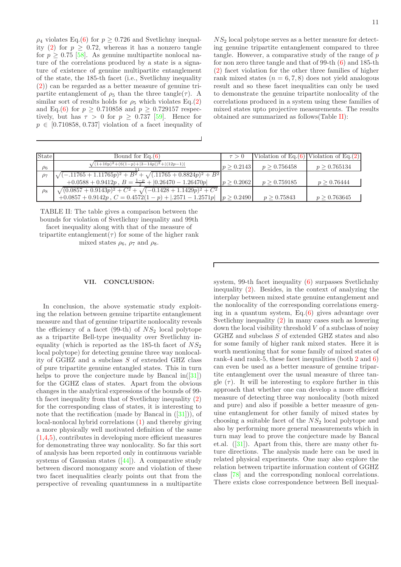$\rho_4$  violates Eq.[\(6\)](#page-2-0) for  $p \geq 0.726$  and Svetlichny inequal-ity [\(2\)](#page-1-0) for  $p \geq 0.72$ , whereas it has a nonzero tangle for  $p \geq 0.75$  [\[58\]](#page-12-16). As genuine multipartite nonlocal nature of the correlations produced by a state is a signature of existence of genuine multipartite entanglement of the state, the 185-th facet (i.e., Svetlichny inequality [\(2\)](#page-1-0)) can be regarded as a better measure of genuine tripartite entanglement of  $\rho_5$  than the three tangle( $\tau$ ). A similar sort of results holds for  $\rho_5$  which violates Eq.[\(2\)](#page-1-0) and Eq.[\(6\)](#page-2-0) for  $p \ge 0.710858$  and  $p \ge 0.729157$  respectively, but has  $\tau > 0$  for  $p \geq 0.737$  [\[59\]](#page-12-1). Hence for  $p \in [0.710858, 0.737]$  violation of a facet inequality of  $NS<sub>2</sub>$  local polytope serves as a better measure for detecting genuine tripartite entanglement compared to three tangle. However, a comparative study of the range of  $p$ for non zero three tangle and that of 99-th [\(6\)](#page-2-0) and 185-th [\(2\)](#page-1-0) facet violation for the other three families of higher rank mixed states  $(n = 6, 7, 8)$  does not yield analogous result and so these facet inequalities can only be used to demonstrate the genuine tripartite nonlocality of the correlations produced in a system using these families of mixed states upto projective measurements. The results obtained are summarized as follows(Table [II\)](#page-10-0):

| <b>State</b> | Bound for $Eq.(6)$                                                                                                                             | $\tau > 0$ |              | Violation of Eq. $(6)$ Violation of Eq. $(2)$ |
|--------------|------------------------------------------------------------------------------------------------------------------------------------------------|------------|--------------|-----------------------------------------------|
| $\rho_6$     | $\sqrt{(1+10p)^2+(6(1-p)+ 3-14p )^2+ (12p-1) }$                                                                                                | p > 0.2143 | p > 0.756458 | p > 0.765134                                  |
| $\rho_7$     | $\sqrt{(-.11765 + 1.11765p)^2 + B^2} + \sqrt{(.11765 + 0.8824p)^2 + B^2}$<br>$+0.0588 + 0.9412p$ , $B = \frac{1-p}{2} +  0.26470 - 1.26470p $  | p > 0.2062 | p > 0.759185 | p > 0.76444                                   |
| $\rho_8$     | $\sqrt{(0.0857+0.9143p)^2+C^2}+\sqrt{(-0.1428+1.1429p)^2+C^2}$<br>$+0.0857 + 0.9142p$ , $C = 0.4572(1-p) +  .2571 - 1.2571p $ $ p \ge 0.2490 $ |            | p > 0.75843  | p > 0.763645                                  |

TABLE II: The table gives a comparison between the bounds for violation of Svetlichny inequality and 99th facet inequality along with that of the measure of

tripartite entanglement( $\tau$ ) for some of the higher rank

<span id="page-10-0"></span>mixed states  $\rho_6$ ,  $\rho_7$  and  $\rho_8$ .

### VII. CONCLUSION:

In conclusion, the above systematic study exploiting the relation between genuine tripartite entanglement measure and that of genuine tripartite nonlocality reveals the efficiency of a facet (99-th) of  $NS<sub>2</sub>$  local polytope as a tripartite Bell-type inequality over Svetlichny inequality (which is reported as the 185-th facet of  $NS<sub>2</sub>$ local polytope) for detecting genuine three way nonlocality of GGHZ and a subclass S of extended GHZ class of pure tripartite genuine entangled states. This in turn helps to prove the conjecture made by Bancal in( $[31]$ ) for the GGHZ class of states. Apart from the obvious changes in the analytical expressions of the bounds of 99 th facet inequality from that of Svetlichny inequality [\(2\)](#page-1-0) for the corresponding class of states, it is interesting to note that the rectification (made by Bancal in ([\[31\]](#page-11-1))), of local-nonlocal hybrid correlations [\(1\)](#page-0-0) and thereby giving a more physically well motivated definition of the same [\(1,](#page-0-0)[4,](#page-1-1)[5\)](#page-1-2), contributes in developing more efficient measures for demonstrating three way nonlocality. So far this sort of analysis has been reported only in continuous variable systems of Gaussian states  $([44])$  $([44])$  $([44])$ . A comparative study between discord monogamy score and violation of these two facet inequalities clearly points out that from the perspective of revealing quantumness in a multipartite system, 99-th facet inequality [\(6\)](#page-2-0) surpasses Svetlichnhy inequality [\(2\)](#page-1-0). Besides, in the context of analyzing the interplay between mixed state genuine entanglement and the nonlocality of the corresponding correlations emerging in a quantum system, Eq.[\(6\)](#page-2-0) gives advantage over Svetlichny inequality [\(2\)](#page-1-0) in many cases such as lowering down the local visibility threshold  $V$  of a subclass of noisy GGHZ and subclass S of extended GHZ states and also for some family of higher rank mixed states. Here it is worth mentioning that for some family of mixed states of rank-4 and rank-5, these facet inequalities (both [2](#page-1-0) and [6\)](#page-2-0) can even be used as a better measure of genuine tripartite entanglement over the usual measure of three tangle  $(\tau)$ . It will be interesting to explore further in this approach that whether one can develop a more efficient measure of detecting three way nonlocality (both mixed and pure) and also if possible a better measure of genuine entanglement for other family of mixed states by choosing a suitable facet of the  $NS<sub>2</sub>$  local polytope and also by performing more general measurements which in turn may lead to prove the conjecture made by Bancal et.al. ([\[31](#page-11-1)]). Apart from this, there are many other future directions. The analysis made here can be used in related physical experiments. One may also explore the relation between tripartite information content of GGHZ class [\[78\]](#page-12-18) and the corresponding nonlocal correlations. There exists close correspondence between Bell inequal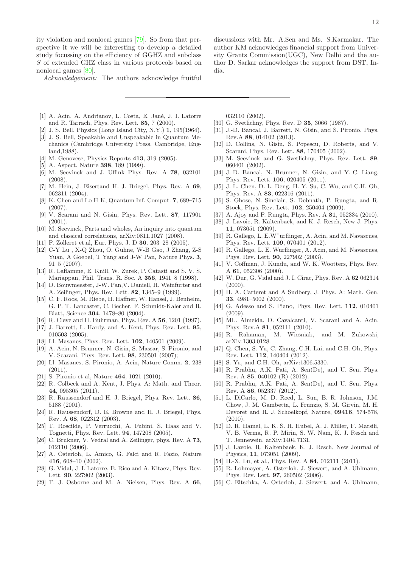ity violation and nonlocal games [\[79](#page-12-19)]. So from that perspective it we will be interesting to develop a detailed study focussing on the efficiency of GGHZ and subclass S of extended GHZ class in various protocols based on nonlocal games [\[80](#page-12-20)].

Acknowledgement: The authors acknowledge fruitful

discussions with Mr. A.Sen and Ms. S.Karmakar. The author KM acknowledges financial support from University Grants Commission(UGC), New Delhi and the author D. Sarkar acknowledges the support from DST, India.

- <span id="page-11-0"></span>[1] A. Acín, A. Andrianov, L. Costa, E. Jané, J. I. Latorre and R. Tarrach, Phys. Rev. Lett. 85, 7 (2000).
- <span id="page-11-2"></span>[2] J. S. Bell, Physics (Long Island City, N.Y.) 1, 195(1964).
- <span id="page-11-3"></span>[3] J. S. Bell, Speakable and Unspeakable in Quantum Mechanics (Cambridge University Press, Cambridge, England,1988).
- <span id="page-11-4"></span>[4] M. Genovese, Physics Reports 413, 319 (2005).
- <span id="page-11-5"></span>[5] A. Aspect, Nature **398**, 189 (1999).
- <span id="page-11-6"></span>[6] M. Seevinck and J. Uffink Phys. Rev. A 78, 032101 (2008).
- [7] M. Hein, J. Eisertand H. J. Briegel, Phys. Rev. A 69, 062311 (2004).
- [8] K. Chen and Lo H-K, Quantum Inf. Comput. 7, 689–715 (2007).
- [9] V. Scarani and N. Gisin, Phys. Rev. Lett. 87, 117901 (2001).
- [10] M. Seevinck, Parts and wholes, An inquiry into quantum and classical correlations, arXiv:0811.1027 (2008).
- <span id="page-11-17"></span>[11] P. Zolleret et.al, Eur. Phys. J. D 36, 203–28 (2005).
- [12] C-Y Lu , X-Q Zhou, O. Guhne, W-B Gao, J Zhang, Z-S Yuan, A Goebel, T Yang and J-W Pan, Nature Phys. 3, 91–5 (2007).
- <span id="page-11-40"></span>[13] R. Laflamme, E. Knill, W. Zurek, P. Catasti and S. V. S. Mariappan, Phil. Trans. R. Soc. A 356, 1941–8 (1998).
- [14] D. Bouwmeester, J-W. Pan,V. Daniell, H. Weinfurter and A. Zeilinger, Phys. Rev. Lett. 82, 1345–9 (1999).
- <span id="page-11-7"></span>[15] C. F. Roos, M. Riebe, H. Haffner, W. Hansel, J. Benhelm, G. P. T. Lancaster, C. Becher, F. Schmidt-Kaler and R. Blatt, Science 304, 1478–80 (2004).
- <span id="page-11-8"></span>[16] R. Cleve and H. Buhrman, Phys. Rev. A 56, 1201 (1997).
- <span id="page-11-9"></span>[17] J. Barrett, L. Hardy, and A. Kent, Phys. Rev. Lett. 95, 010503 (2005).
- [18] Ll. Masanes, Phys. Rev. Lett. **102**, 140501 (2009).
- [19] A. Acin, N. Brunner, N. Gisin, S. Massar, S. Pironio, and V. Scarani, Phys. Rev. Lett. 98, 230501 (2007);
- <span id="page-11-10"></span>[20] Ll. Masanes, S. Pironio, A. Acin, Nature Comm. 2, 238 (2011).
- <span id="page-11-11"></span>[21] S. Pironio et al, Nature 464, 1021 (2010).
- <span id="page-11-12"></span>[22] R. Colbeck and A. Kent, J. Phys. A: Math. and Theor. 44, 095305 (2011).
- <span id="page-11-13"></span>[23] R. Raussendorf and H. J. Briegel, Phys. Rev. Lett. 86, 5188 (2001).
- <span id="page-11-14"></span>[24] R. Raussendorf, D. E. Browne and H. J. Briegel, Phys. Rev. A 68, 022312 (2003).
- <span id="page-11-15"></span>[25] T. Roscilde, P. Verrucchi, A. Fubini, S. Haas and V. Tognetti, Phys. Rev. Lett. 94, 147208 (2005).
- <span id="page-11-16"></span>[26] C. Brukner, V. Vedral and A. Zeilinger, phys. Rev. A 73, 012110 (2006).
- <span id="page-11-18"></span>[27] A. Osterloh, L. Amico, G. Falci and R. Fazio, Nature 416, 608–10 (2002).
- <span id="page-11-19"></span>[28] G. Vidal, J. I. Latorre, E. Rico and A. Kitaev, Phys. Rev. Lett. 90, 227902 (2003).
- [29] T. J. Osborne and M. A. Nielsen, Phys. Rev. A 66,

032110 (2002).

- <span id="page-11-20"></span>[30] G. Svetlichny, Phys. Rev. D **35**, 3066 (1987).
- <span id="page-11-1"></span>[31] J.-D. Bancal, J. Barrett, N. Gisin, and S. Pironio, Phys. Rev.A 88, 014102 (2013).
- <span id="page-11-21"></span>[32] D. Collins, N. Gisin, S. Popescu, D. Roberts, and V. Scarani, Phys. Rev. Lett. 88, 170405 (2002).
- <span id="page-11-22"></span>[33] M. Seevinck and G. Svetlichny, Phys. Rev. Lett. 89, 060401 (2002).
- <span id="page-11-23"></span>[34] J.-D. Bancal, N. Brunner, N. Gisin, and Y.-C. Liang, Phys. Rev. Lett. 106, 020405 (2011).
- <span id="page-11-24"></span>[35] J.-L. Chen, D.-L. Deng, H.-Y. Su, C. Wu, and C.H. Oh, Phys. Rev. A 83, 022316 (2011).
- <span id="page-11-25"></span>[36] S. Ghose, N. Sinclair, S. Debnath, P. Rungta, and R. Stock, Phys. Rev. Lett. 102, 250404 (2009).
- <span id="page-11-32"></span>[37] A. Ajoy and P. Rungta, Phys. Rev. A **81**, 052334 (2010).
- <span id="page-11-26"></span>[38] J. Lavoie, R. Kaltenbaek, and K. J. Resch, New J. Phys. 11, 073051 (2009).
- <span id="page-11-27"></span>[39] R. Gallego, L. E.W¨urflinger, A. Acin, and M. Navascues, Phys. Rev. Lett. 109, 070401 (2012).
- <span id="page-11-28"></span>[40] R. Gallego, L. E. Wurflinger, A. Acin, and M. Navascues, Phys. Rev. Lett. 90, 227902 (2003).
- <span id="page-11-29"></span>[41] V. Coffman, J. Kundu, and W. K. Wootters, Phys. Rev. A 61, 052306 (2000).
- <span id="page-11-30"></span>[42] W. Dur, G. Vidal and J. I. Cirac, Phys. Rev. A 62 062314  $(2000).$
- <span id="page-11-31"></span>[43] H. A. Carteret and A Sudbery, J. Phys. A: Math. Gen. 33, 4981–5002 (2000).
- <span id="page-11-33"></span>[44] G. Adesso and S. Piano, Phys. Rev. Lett. **112**, 010401 (2009).
- <span id="page-11-34"></span>[45] ML. Almeida, D. Cavalcanti, V. Scarani and A. Acin, Phys. Rev.A **81**, 052111 (2010).<br>R. Rahaman, M. Wiesniak,
- <span id="page-11-35"></span>[46] R. Rahaman, M. Wiesniak, and M. Zukowski, arXiv:1303.0128.
- [47] Q. Chen, S. Yu, C. Zhang, C.H. Lai, and C.H. Oh, Phys. Rev. Lett. 112, 140404 (2012).
- <span id="page-11-36"></span>[48] S. Yu, and C.H. Oh, arXiv:1306.5330.
- <span id="page-11-37"></span>[49] R. Prabhu, A.K. Pati, A. Sen(De), and U. Sen, Phys. Rev. A 85, 040102 (R) (2012).
- <span id="page-11-38"></span>[50] R. Prabhu, A.K. Pati, A. Sen(De), and U. Sen, Phys. Rev. A 86, 052337 (2012).
- <span id="page-11-41"></span>[51] L. DiCarlo, M. D. Reed, L. Sun, B. R. Johnson, J.M. Chow, J. M. Gambetta, L. Frunzio, S. M. Girvin, M. H. Devoret and R. J. Schoelkopf, Nature, 09416, 574-578,  $(2010).$
- <span id="page-11-42"></span>[52] D. R. Hamel, L. K. S. H. Hubel, A. J. Miller, F. Marsili, V. B. Verma, R. P. Mirin, S. W. Nam, K. J. Resch and T. Jennewein, arXiv:1404.7131.
- <span id="page-11-43"></span>[53] J. Lavoie, R. Kaltenbaek, K. J. Resch, New Journal of Physics, 11, 073051 (2009).
- <span id="page-11-44"></span>[54] H.-X. Lu, et al., Phys. Rev. A 84, 012111 (2011).
- <span id="page-11-39"></span>[55] R. Lohmayer, A. Osterloh, J. Siewert, and A. Uhlmann, Phys. Rev. Lett. 97, 260502 (2006).
- <span id="page-11-45"></span>[56] C. Eltschka, A. Osterloh, J. Siewert, and A. Uhlmann,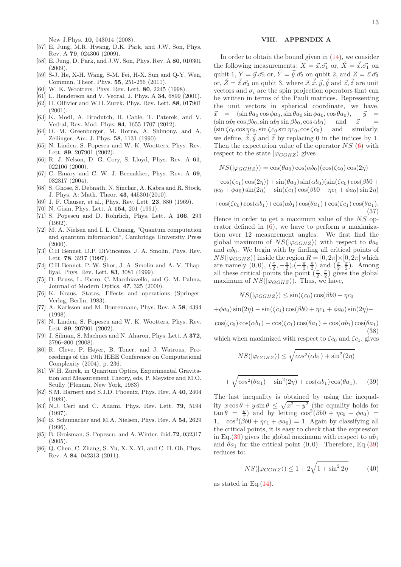New J.Phys. 10, 043014 (2008).

- <span id="page-12-15"></span>[57] E. Jung, M.R. Hwang, D.K. Park, and J.W. Son, Phys. Rev. A 79, 024306 (2009).
- <span id="page-12-16"></span>[58] E. Jung, D. Park, and J.W. Son, Phys. Rev. A 80, 010301 (2009).
- <span id="page-12-1"></span>[59] S-J. He, X-H. Wang, S-M. Fei, H-X. Sun and Q-Y. Wen, Commun. Theor. Phys. 55, 251-256 (2011).
- <span id="page-12-2"></span>[60] W. K. Wootters, Phys. Rev. Lett. 80, 2245 (1998).
- <span id="page-12-3"></span>[61] L. Henderson and V. Vedral, J. Phys. A 34, 6899 (2001).
- <span id="page-12-24"></span>[62] H. Ollivier and W.H. Zurek, Phys. Rev. Lett. 88, 017901 (2001).
- <span id="page-12-4"></span>[63] K. Modi, A. Brodutch, H. Cable, T. Paterek, and V. Vedral, Rev. Mod. Phys. 84, 1655-1707 (2012).
- <span id="page-12-5"></span>[64] D. M. Greenberger, M. Horne, A. Shimony, and A. Zeilinger, Am. J. Phys. 58, 1131 (1990).
- <span id="page-12-6"></span>[65] N. Linden, S. Popescu and W. K. Wootters, Phys. Rev. Lett. 89, 207901 (2002).
- <span id="page-12-7"></span>[66] R. J. Nelson, D. G. Cory, S. Lloyd, Phys. Rev. A 61, 022106 (2000).
- <span id="page-12-8"></span>[67] C. Emary and C. W. J. Beenakker, Phys. Rev. A 69, 032317 (2004).
- <span id="page-12-9"></span>[68] S. Ghose, S. Debnath, N. Sinclair, A. Kabra and R. Stock, J. Phys. A: Math. Theor. 43, 445301(2010).
- <span id="page-12-10"></span>[69] J. F. Clauser, et al., Phys. Rev. Lett. 23, 880 (1969).
- <span id="page-12-11"></span>[70] N. Gisin, Phys. Lett. A **154**, 201 (1991).
- <span id="page-12-12"></span>[71] S. Popescu and D. Rohrlich, Phys. Lett. A 166, 293 (1992).
- <span id="page-12-0"></span>[72] M. A. Nielsen and I. L. Chuang, "Quantum computation and quantum information", Cambridge University Press  $(2000)$ .
- [73] C.H Bennet, D.P. DiVincenzo, J. A. Smolin, Phys. Rev. Lett. 78, 3217 (1997).
- [74] C.H Bennet, P. W. Shor, J. A. Smolin and A. V. Thapliyal, Phys. Rev. Lett. 83, 3081 (1999).
- <span id="page-12-13"></span>[75] D. Bruss, L. Faoro, C. Macchiavello, and G. M. Palma, Journal of Modern Optics, 47, 325 (2000).
- <span id="page-12-14"></span>[76] K. Kraus, States, Effects and operations (Springer-Verlag, Berlin, 1983).
- <span id="page-12-17"></span>[77] A. Karlsson and M. Bourennane, Phys. Rev. A 58, 4394 (1998).
- <span id="page-12-18"></span>[78] N. Linden, S. Popescu and W. K. Wootters, Phys. Rev. Lett. 89, 207901 (2002).
- <span id="page-12-19"></span>[79] J. Silman, S. Machnes and N. Aharon, Phys. Lett. A 372, 3796–800 (2008).
- <span id="page-12-20"></span>[80] R. Cleve, P. Høyer, B. Toner, and J. Watrous, Proceedings of the 19th IEEE Conference on Computational Complexity (2004), p. 236.
- <span id="page-12-22"></span>[81] W.H. Zurek, in Quantum Optics, Experimental Gravitation and Measurement Theory, eds. P. Meystre and M.O. Scully (Plenum, New York, 1983)
- [82] S.M. Barnett and S.J.D. Phoenix, Phys. Rev. A 40, 2404 (1989).
- [83] N.J. Cerf and C. Adami, Phys. Rev. Lett. 79, 5194 (1997).
- [84] B. Schumacher and M.A. Nielsen, Phys. Rev. A 54, 2629 (1996).
- <span id="page-12-23"></span>[85] B. Groisman, S. Popescu, and A. Winter, ibid.72, 032317 (2005).
- <span id="page-12-25"></span>[86] Q. Chen, C. Zhang, S. Yu, X. X. Yi, and C. H. Oh, Phys. Rev. A 84, 042313 (2011).

## VIII. APPENDIX A

In order to obtain the bound given in [\(14\)](#page-3-1), we consider the following measurements:  $X = \vec{x} \cdot \vec{\sigma_1}$  or,  $\acute{X} = \vec{x} \cdot \vec{\sigma_1}$  on qubit 1,  $Y = \vec{y} \cdot \vec{\sigma_2}$  or,  $\acute{Y} = \vec{y} \cdot \vec{\sigma_2}$  on qubit 2, and  $Z = \vec{z} \cdot \vec{\sigma_3}$ or,  $\acute{Z} = \vec{\tilde{z}}.\vec{\sigma_3}$  on qubit 3, where  $\vec{x}, \vec{\tilde{x}}, \vec{y}, \vec{\tilde{y}}$  and  $\vec{z}, \vec{\tilde{z}}$  are unit vectors and  $\sigma_i$  are the spin projection operators that can be written in terms of the Pauli matrices. Representing the unit vectors in spherical coordinate, we have,  $\vec{x} = (\sin \theta a_0 \cos \phi a_0, \sin \theta a_0 \sin \phi a_0, \cos \theta a_0), \quad \vec{y} =$  $(\sin \alpha b_0 \cos \beta b_0, \sin \alpha b_0 \sin \beta b_0, \cos \alpha b_0)$  and  $\vec{z}$  =  $(\sin \zeta c_0 \cos \eta c_0, \sin \zeta c_0 \sin \eta c_0, \cos \zeta c_0)$  and similarly, we define,  $\vec{x}, \vec{y}$  and  $\vec{z}$  by replacing 0 in the indices by 1. Then the expectation value of the operator  $NS$  [\(6\)](#page-2-0) with respect to the state  $|\varphi_{GGHZ}\rangle$  gives

 $NS(|\varphi_{GGHZ}\rangle) = \cos(\theta a_0) \cos(\alpha b_0) (\cos(\zeta c_0) \cos(2\eta) -$ 

 $\cos(\zeta c_1) \cos(2\eta) + \sin(\theta a_0) \sin(\alpha b_0) (\sin(\zeta c_0) \cos(\beta b_0 +$  $\eta c_0 + \phi a_0 \sin(2\eta) - \sin(\zeta c_1) \cos(\beta b_0) + \eta c_1 + \phi a_0 \sin(2\eta)$ 

$$
+\cos(\zeta c_0)\cos(\alpha b_1)+\cos(\alpha b_1)\cos(\theta a_1)+\cos(\zeta c_1)\cos(\theta a_1).
$$
\n(37)

Hence in order to get a maximum value of the  $NS$  operator defined in  $(6)$ , we have to perform a maximization over 12 measurement angles. We first find the global maximum of  $NS(|\varphi_{GGHZ}\rangle)$  with respect to  $\theta a_0$ and  $\alpha b_0$ . We begin with by finding all critical points of  $NS(|\varphi_{GGHZ}\rangle)$  inside the region  $R = [0, 2\pi] \times [0, 2\pi]$  which are namely  $(0,0), (\frac{\pi}{2}, -\frac{\pi}{2}), (-\frac{\pi}{2}, \frac{\pi}{2})$  and  $(\frac{\pi}{2}, \frac{\pi}{2})$ . Among all these critical points the point  $(\frac{\pi}{2}, \frac{\pi}{2})$  gives the global maximum of  $NS(|\varphi_{GGHZ}\rangle)$ . Thus, we have,

 $NS(|\varphi_{GGHZ}\rangle) \leq \sin(\zeta c_0) \cos(\beta b_0 + \eta c_0)$ 

 $+\phi a_0 \sin(2\eta) - \sin(\zeta c_1) \cos(\beta b_0 + \eta c_1 + \phi a_0) \sin(2\eta) +$ 

 $\cos(\zeta c_0) \cos(\alpha b_1) + \cos(\zeta c_1) \cos(\theta a_1) + \cos(\alpha b_1) \cos(\theta a_1)$ (38) which when maximized with respect to  $\zeta_{c_0}$  and  $\zeta_{c_1}$ , gives

$$
NS(|\varphi_{GGHZ}\rangle) \le \sqrt{\cos^2(\alpha b_1) + \sin^2(2\eta)}
$$

$$
+ \sqrt{\cos^2(\theta a_1) + \sin^2(2\eta)} + \cos(\alpha b_1)\cos(\theta a_1). \quad (39)
$$

<span id="page-12-21"></span>The last inequality is obtained by using the inequality  $x \cos \theta + y \sin \theta \leq \sqrt{x^2 + y^2}$  (the equality holds for  $\tan \theta = \frac{y}{x}$  and by letting  $\cos^2(\beta b0 + \eta c_0 + \phi a_0)$ 1,  $\cos^2(\beta b0 + \eta c_1 + \phi a_0) = 1$ . Again by classifying all the critical points, it is easy to check that the expression in Eq.[\(39\)](#page-12-21) gives the global maximum with respect to  $\alpha b_1$ and  $\theta a_1$  for the critical point  $(0, 0)$ . Therefore, Eq.[\(39\)](#page-12-21) reduces to:

$$
NS(|\varphi_{GGHZ}\rangle) \le 1 + 2\sqrt{1 + \sin^2 2\eta} \tag{40}
$$

as stated in Eq. $(14)$ .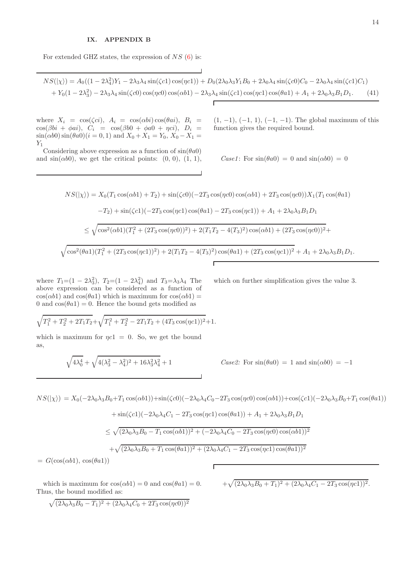# IX. APPENDIX B

For extended GHZ states, the expression of  $NS$  [\(6\)](#page-2-0) is:

 $NS(|\chi\rangle) = A_0((1 - 2\lambda_4^2)Y_1 - 2\lambda_3\lambda_4 \sin(\zeta c1)\cos(\eta c1)) + D_0(2\lambda_0\lambda_3Y_1B_0 + 2\lambda_0\lambda_4 \sin(\zeta c0)C_0 - 2\lambda_0\lambda_4 \sin(\zeta c1)C_1)$ +  $Y_0(1-2\lambda_3^2)$  -  $2\lambda_3\lambda_4 \sin(\zeta c0) \cos(\eta c0) \cos(\alpha b1)$  -  $2\lambda_3\lambda_4 \sin(\zeta c1) \cos(\eta c1) \cos(\theta a1)$  +  $A_1 + 2\lambda_0\lambda_3 B_1 D_1$ . (41)

where  $X_i = \cos(\zeta c i), A_i = \cos(\alpha bi) \cos(\theta a i), B_i =$  $\cos(\beta bi + \phi ai)$ ,  $C_i = \cos(\beta b0 + \phi a0 + \eta ci)$ ,  $D_i =$  $\sin(\alpha b0)\sin(\theta a0)(i=0,1)$  and  $X_0+X_1=Y_0, X_0-X_1=$  $Y_1$ 

Considering above expression as a function of  $sin(\theta a0)$ and  $sin(\alpha b0)$ , we get the critical points:  $(0, 0), (1, 1),$   $(1, -1), (-1, 1), (-1, -1)$ . The global maximum of this function gives the required bound.

Case1: For  $sin(\theta a0) = 0$  and  $sin(\alpha b0) = 0$ 

$$
NS(|\chi\rangle) = X_0(T_1 \cos(\alpha b1) + T_2) + \sin(\zeta c0)(-2T_3 \cos(\eta c0)\cos(\alpha b1) + 2T_3 \cos(\eta c0))X_1(T_1 \cos(\theta a1) - T_2) + \sin(\zeta c1)(-2T_3 \cos(\eta c1)\cos(\theta a1) - 2T_3 \cos(\eta c1)) + A_1 + 2\lambda_0 \lambda_3 B_1 D_1
$$
  

$$
\leq \sqrt{\cos^2(\alpha b1)(T_1^2 + (2T_3 \cos(\eta c0))^2) + 2(T_1 T_2 - 4(T_3)^2)\cos(\alpha b1) + (2T_3 \cos(\eta c0))^2} +
$$
  

$$
\sqrt{\cos^2(\theta a1)(T_1^2 + (2T_3 \cos(\eta c1))^2) + 2(T_1 T_2 - 4(T_3)^2)\cos(\theta a1) + (2T_3 \cos(\eta c1))^2} + A_1 + 2\lambda_0 \lambda_3 B_1 D_1.
$$

where  $T_1 = (1 - 2\lambda_3^2)$ ,  $T_2 = (1 - 2\lambda_4^2)$  and  $T_3 = \lambda_3\lambda_4$  The above expression can be considered as a function of  $\cos(\alpha b1)$  and  $\cos(\theta a1)$  which is maximum for  $\cos(\alpha b1)$  = 0 and  $cos(\theta a1) = 0$ . Hence the bound gets modified as

which on further simplification gives the value 3.

$$
\sqrt{T_1^2 + T_2^2 + 2T_1T_2} + \sqrt{T_1^2 + T_2^2 - 2T_1T_2 + (4T_3\cos(\eta c1))^2} + 1.
$$

which is maximum for  $\eta c1 = 0$ . So, we get the bound as,

$$
\sqrt{4\lambda_0^4} + \sqrt{4(\lambda_3^2-\lambda_4^2)^2+16\lambda_3^2\lambda_4^2} + 1
$$

Case2: For  $sin(\theta a0) = 1$  and  $sin(\alpha b0) = -1$ 

$$
NS(|\chi\rangle) = X_0(-2\lambda_0\lambda_3B_0 + T_1\cos(\alpha b1)) + \sin(\zeta c0)(-2\lambda_0\lambda_4C_0 - 2T_3\cos(\eta c0)\cos(\alpha b1)) + \cos(\zeta c1)(-2\lambda_0\lambda_3B_0 + T_1\cos(\theta a1))
$$
  
+  $\sin(\zeta c1)(-2\lambda_0\lambda_4C_1 - 2T_3\cos(\eta c1)\cos(\theta a1)) + A_1 + 2\lambda_0\lambda_3B_1D_1$   

$$
\leq \sqrt{(2\lambda_0\lambda_3B_0 - T_1\cos(\alpha b1))^2 + (-2\lambda_0\lambda_4C_0 - 2T_3\cos(\eta c0)\cos(\alpha b1))^2}
$$
  
+  $\sqrt{(2\lambda_0\lambda_3B_0 + T_1\cos(\theta a1))^2 + (2\lambda_0\lambda_4C_1 - 2T_3\cos(\eta c1)\cos(\theta a1))^2}$   
=  $G(\cos(\alpha b1), \cos(\theta a1))$ 

 $= G(\cos(\alpha b1), \cos(\theta a1))$ 

which is maximum for  $\cos(\alpha b1) = 0$  and  $\cos(\theta a1) = 0$ . Thus, the bound modified as:

$$
+\sqrt{(2\lambda_0\lambda_3B_0+T_1)^2+(2\lambda_0\lambda_4C_1-2T_3\cos(\eta c1))^2}.
$$

$$
\sqrt{(2\lambda_0\lambda_3B_0-T_1)^2+(2\lambda_0\lambda_4C_0+2T_3\cos(\eta c0))^2}
$$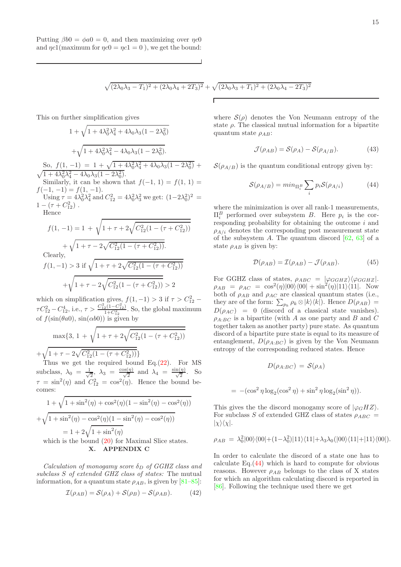Putting  $\beta b0 = \phi a0 = 0$ , and then maximizing over  $\eta c0$ and  $\eta c1$ (maximum for  $\eta c0 = \eta c1 = 0$ ), we get the bound:

$$
\sqrt{(2\lambda_0\lambda_3 - T_1)^2 + (2\lambda_0\lambda_4 + 2T_3)^2} + \sqrt{(2\lambda_0\lambda_3 + T_1)^2 + (2\lambda_0\lambda_4 - 2T_3)^2}
$$

This on further simplification gives

$$
1 + \sqrt{1 + 4\lambda_0^2 \lambda_4^2 + 4\lambda_0 \lambda_3 (1 - 2\lambda_0^2)}
$$
  
+  $\sqrt{1 + 4\lambda_0^2 \lambda_4^2 - 4\lambda_0 \lambda_3 (1 - 2\lambda_0^2)}$ .  
So,  $f(1, -1) = 1 + \sqrt{1 + 4\lambda_0^2 \lambda_4^2 + 4\lambda_0 \lambda_3 (1 - 2\lambda_0^2)} + \sqrt{1 + 4\lambda_0^2 \lambda_4^2 - 4\lambda_0 \lambda_3 (1 - 2\lambda_0^2)}$ .  
Similarly, it can be shown that  $f(-1, 1) = f(1, 1) = f(-1, -1) = f(1, -1)$ .  
Using  $\tau = 4\lambda_0^2 \lambda_4^2$  and  $C_{12}^2 = 4\lambda_0^2 \lambda_3^2$  we get:  $(1 - 2\lambda_0^2)^2 = 1 - (\tau + C_{12}^2)$ .  
Hence

$$
f(1, -1) = 1 + \sqrt{1 + \tau + 2\sqrt{C_{12}^2(1 - (\tau + C_{12}^2))}}
$$

$$
+ \sqrt{1 + \tau - 2\sqrt{C_{12}^2(1 - (\tau + C_{12}^2))}}.
$$
Clearly,  

$$
f(1, -1) > 3
$$
 if  $\sqrt{1 + \tau + 2\sqrt{C_{12}^2(1 - (\tau + C_{12}^2))}}$ 
$$
+ \sqrt{1 + \tau - 2\sqrt{C_{12}^2(1 - (\tau + C_{12}^2))}} > 2
$$

which on simplification gives,  $f(1,-1) > 3$  if  $\tau > C_{12}^2$  –  $\tau C_{12}^2 - C_{12}^4$ , i.e.,  $\tau > \frac{C_{12}^2 (1 - C_{12}^2)}{1 + C_{12}^2}$ . So, the global maximum of  $f(\sin(\theta a0), \sin(\alpha b0))$  is given by

$$
\max\{3, 1 + \sqrt{1 + \tau + 2\sqrt{C_{12}^2(1 - (\tau + C_{12}^2))}}
$$

 $+\sqrt{1+\tau-2\sqrt{C_{12}^2(1-(\tau+C_{12}^2))}}\}$ 

Thus we get the required bound Eq.[\(22\)](#page-5-0). For MS subclass,  $\lambda_0 = \frac{1}{\sqrt{2}}$  $\frac{1}{2}$ ,  $\lambda_3 = \frac{\cos(\eta)}{\sqrt{2}}$  and  $\lambda_4 = \frac{\sin(\eta)}{\sqrt{2}}$ . So  $\tau = \sin^2(\eta)$  and  $C_{12}^2 = \cos^2(\eta)$ . Hence the bound becomes:

$$
1 + \sqrt{1 + \sin^2(\eta) + \cos^2(\eta)(1 - \sin^2(\eta) - \cos^2(\eta))}
$$

$$
+ \sqrt{1 + \sin^2(\eta) - \cos^2(\eta)(1 - \sin^2(\eta) - \cos^2(\eta))}
$$

$$
= 1 + 2\sqrt{1 + \sin^2(\eta)}
$$
which is the bound (20) for Maximal Slice states.  
**X. APPENDIX** C

Calculation of monogamy score  $\delta_D$  of GGHZ class and subclass S of extended GHZ class of states: The mutual information, for a quantum state  $\rho_{AB}$ , is given by [\[81](#page-12-22)[–85\]](#page-12-23):

$$
\mathcal{I}(\rho_{AB}) = \mathcal{S}(\rho_A) + \mathcal{S}(\rho_B) - \mathcal{S}(\rho_{AB}). \tag{42}
$$

where  $S(\rho)$  denotes the Von Neumann entropy of the state  $\rho$ . The classical mutual information for a bipartite quantum state  $\rho_{AB}$ :

$$
\mathcal{J}(\rho_{AB}) = \mathcal{S}(\rho_A) - \mathcal{S}(\rho_{A/B}). \tag{43}
$$

 $\mathcal{S}(\rho_{A/B})$  is the quantum conditional entropy given by:

<span id="page-14-0"></span>
$$
S(\rho_{A/B}) = min_{\Pi_i^B} \sum_i p_i S(\rho_{A/i})
$$
 (44)

where the minimization is over all rank-1 measurements,  $\Pi_i^B$  performed over subsystem B. Here  $p_i$  is the corresponding probability for obtaining the outcome  $i$  and  $\rho_{A/i}$  denotes the corresponding post measurement state of the subsystem  $A$ . The quantum discord  $[62, 63]$  $[62, 63]$  $[62, 63]$  of a state  $\rho_{AB}$  is given by:

$$
\mathcal{D}(\rho_{AB}) = \mathcal{I}(\rho_{AB}) - \mathcal{J}(\rho_{AB}). \tag{45}
$$

For GGHZ class of states,  $\rho_{ABC} = |\varphi_{GGHZ}\rangle\langle\varphi_{GGHZ}|.$  $\rho_{AB} = \rho_{AC} = \cos^2(\eta) |00\rangle\langle 00| + \sin^2(\eta) |11\rangle\langle 11|$ . Now both of  $\rho_{AB}$  and  $\rho_{AC}$  are classical quantum states (i.e., they are of the form:  $\sum_{p_k} \rho_k \otimes |k\rangle\langle k|$ . Hence  $D(\rho_{AB}) =$  $D(\rho_{AC}) = 0$  (discord of a classical state vanishes).  $\rho_{A:BC}$  is a bipartite (with A as one party and B and C together taken as another party) pure state. As quantum discord of a bipartite pure state is equal to its measure of entanglement,  $D(\rho_{A:BC})$  is given by the Von Neumann entropy of the corresponding reduced states. Hence

$$
D(\rho_{A:BC}) = S(\rho_A)
$$
  
= -(\cos<sup>2</sup>  $\eta$  log<sub>2</sub>(cos<sup>2</sup>  $\eta$ ) + sin<sup>2</sup>  $\eta$  log<sub>2</sub>(sin<sup>2</sup>  $\eta$ )).

This gives the the discord monogamy score of  $|\varphi_G HZ\rangle$ . For subclass S of extended GHZ class of states  $\rho_{ABC}$  =  $|\chi\rangle\langle\chi|$ .

$$
\rho_{AB} = \lambda_0^2 |00\rangle\langle00| + (1 - \lambda_0^2)|11\rangle\langle11| + \lambda_3\lambda_0(|00\rangle\langle11| + |11\rangle\langle00|).
$$

In order to calculate the discord of a state one has to calculate  $Eq. (44)$  $Eq. (44)$  which is hard to compute for obvious reasons. However  $\rho_{AB}$  belongs to the class of X states for which an algorithm calculating discord is reported in [\[86\]](#page-12-25). Following the technique used there we get